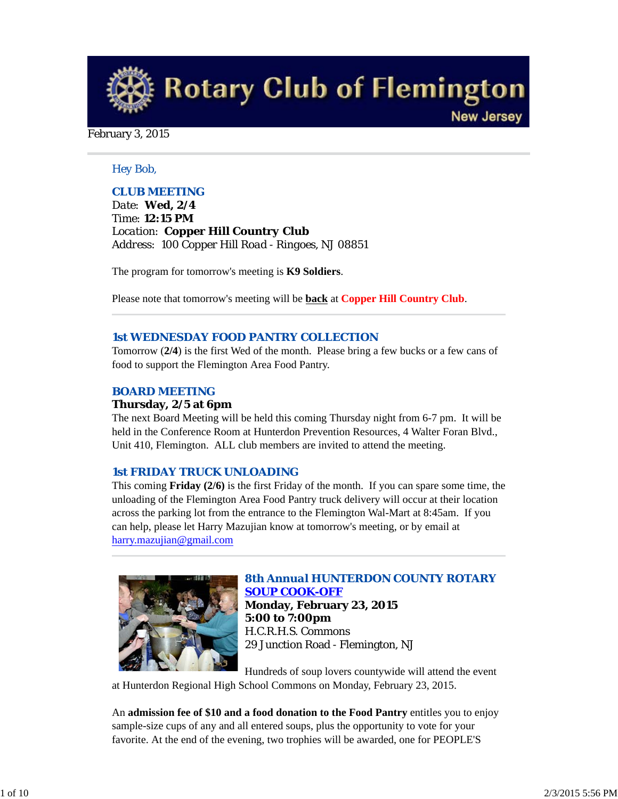**Rotary Club of Flemington New Jersey** 

#### February 3, 2015

#### *Hey Bob,*

## *CLUB MEETING*

*Date: Wed, 2/4 Time: 12:15 PM Location: Copper Hill Country Club Address: 100 Copper Hill Road - Ringoes, NJ 08851*

The program for tomorrow's meeting is **K9 Soldiers**.

Please note that tomorrow's meeting will be **back** at **Copper Hill Country Club**.

#### *1st WEDNESDAY FOOD PANTRY COLLECTION*

Tomorrow (**2/4**) is the first Wed of the month. Please bring a few bucks or a few cans of food to support the Flemington Area Food Pantry.

## *BOARD MEETING*

#### **Thursday, 2/5 at 6pm**

The next Board Meeting will be held this coming Thursday night from 6-7 pm. It will be held in the Conference Room at Hunterdon Prevention Resources, 4 Walter Foran Blvd., Unit 410, Flemington. ALL club members are invited to attend the meeting.

#### *1st FRIDAY TRUCK UNLOADING*

This coming **Friday (2/6)** is the first Friday of the month. If you can spare some time, the unloading of the Flemington Area Food Pantry truck delivery will occur at their location across the parking lot from the entrance to the Flemington Wal-Mart at 8:45am. If you can help, please let Harry Mazujian know at tomorrow's meeting, or by email at harry.mazujian@gmail.com



# *8th Annual HUNTERDON COUNTY ROTARY SOUP COOK-OFF*

**Monday, February 23, 2015 5:00 to 7:00pm** H.C.R.H.S. Commons 29 Junction Road - Flemington, NJ

Hundreds of soup lovers countywide will attend the event

at Hunterdon Regional High School Commons on Monday, February 23, 2015.

An **admission fee of \$10 and a food donation to the Food Pantry** entitles you to enjoy sample-size cups of any and all entered soups, plus the opportunity to vote for your favorite. At the end of the evening, two trophies will be awarded, one for PEOPLE'S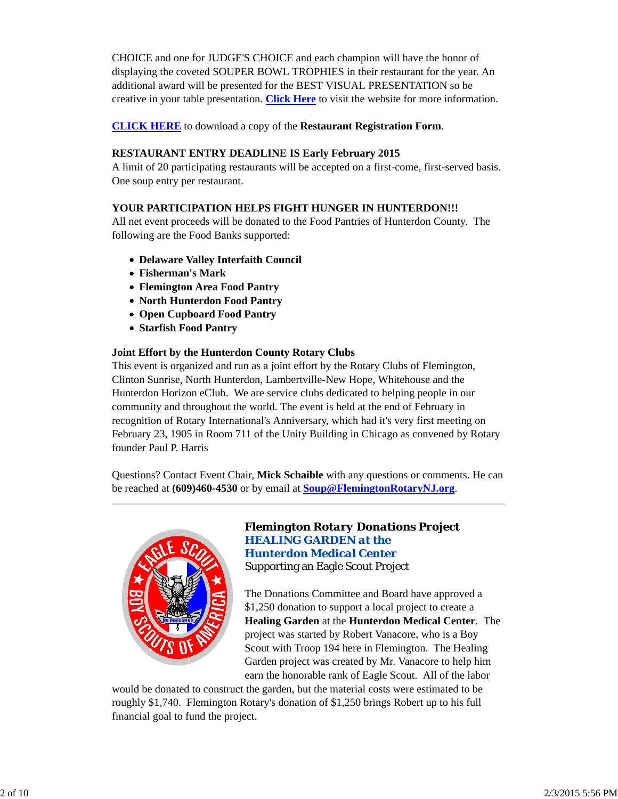CHOICE and one for JUDGE'S CHOICE and each champion will have the honor of displaying the coveted SOUPER BOWL TROPHIES in their restaurant for the year. An additional award will be presented for the BEST VISUAL PRESENTATION so be creative in your table presentation. **Click Here** to visit the website for more information.

**CLICK HERE** to download a copy of the **Restaurant Registration Form**.

## **RESTAURANT ENTRY DEADLINE IS Early February 2015**

A limit of 20 participating restaurants will be accepted on a first-come, first-served basis. One soup entry per restaurant.

# **YOUR PARTICIPATION HELPS FIGHT HUNGER IN HUNTERDON!!!**

All net event proceeds will be donated to the Food Pantries of Hunterdon County. The following are the Food Banks supported:

- **Delaware Valley Interfaith Council**
- **Fisherman's Mark**
- **Flemington Area Food Pantry**
- **North Hunterdon Food Pantry**
- **Open Cupboard Food Pantry**
- **Starfish Food Pantry**

#### **Joint Effort by the Hunterdon County Rotary Clubs**

This event is organized and run as a joint effort by the Rotary Clubs of Flemington, Clinton Sunrise, North Hunterdon, Lambertville-New Hope, Whitehouse and the Hunterdon Horizon eClub. We are service clubs dedicated to helping people in our community and throughout the world. The event is held at the end of February in recognition of Rotary International's Anniversary, which had it's very first meeting on February 23, 1905 in Room 711 of the Unity Building in Chicago as convened by Rotary founder Paul P. Harris

Questions? Contact Event Chair, **Mick Schaible** with any questions or comments. He can be reached at **(609)460-4530** or by email at **Soup@FlemingtonRotaryNJ.org**.



## *Flemington Rotary Donations Project HEALING GARDEN at the Hunterdon Medical Center* Supporting an Eagle Scout Project

The Donations Committee and Board have approved a \$1,250 donation to support a local project to create a **Healing Garden** at the **Hunterdon Medical Center**. The project was started by Robert Vanacore, who is a Boy Scout with Troop 194 here in Flemington. The Healing Garden project was created by Mr. Vanacore to help him earn the honorable rank of Eagle Scout. All of the labor

would be donated to construct the garden, but the material costs were estimated to be roughly \$1,740. Flemington Rotary's donation of \$1,250 brings Robert up to his full financial goal to fund the project.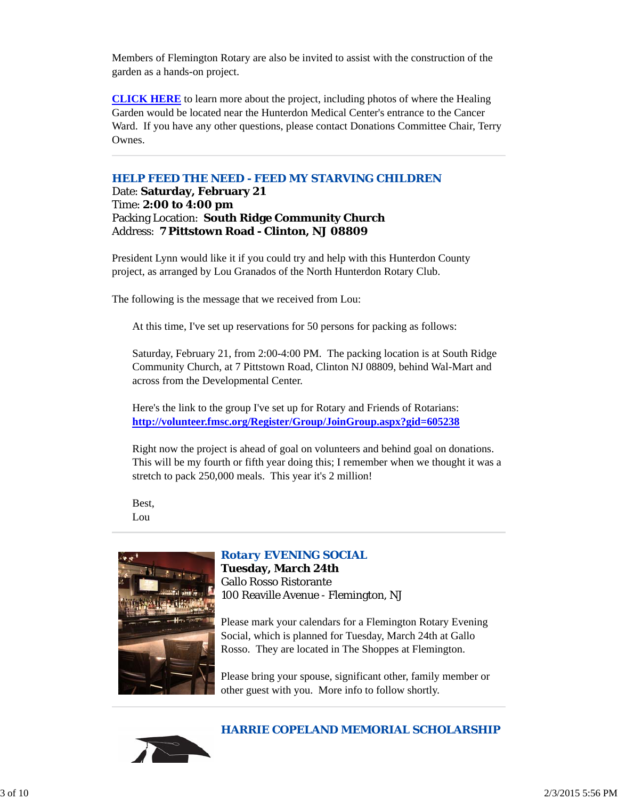Members of Flemington Rotary are also be invited to assist with the construction of the garden as a hands-on project.

**CLICK HERE** to learn more about the project, including photos of where the Healing Garden would be located near the Hunterdon Medical Center's entrance to the Cancer Ward. If you have any other questions, please contact Donations Committee Chair, Terry Ownes.

#### *HELP FEED THE NEED - FEED MY STARVING CHILDREN*

Date: **Saturday, February 21** Time: **2:00 to 4:00 pm** Packing Location: **South Ridge Community Church** Address: **7 Pittstown Road - Clinton, NJ 08809**

President Lynn would like it if you could try and help with this Hunterdon County project, as arranged by Lou Granados of the North Hunterdon Rotary Club.

The following is the message that we received from Lou:

At this time, I've set up reservations for 50 persons for packing as follows:

Saturday, February 21, from 2:00-4:00 PM. The packing location is at South Ridge Community Church, at 7 Pittstown Road, Clinton NJ 08809, behind Wal-Mart and across from the Developmental Center.

Here's the link to the group I've set up for Rotary and Friends of Rotarians: **http://volunteer.fmsc.org/Register/Group/JoinGroup.aspx?gid=605238**

Right now the project is ahead of goal on volunteers and behind goal on donations. This will be my fourth or fifth year doing this; I remember when we thought it was a stretch to pack 250,000 meals. This year it's 2 million!

Best, Lou



# *Rotary EVENING SOCIAL*

**Tuesday, March 24th** Gallo Rosso Ristorante 100 Reaville Avenue - Flemington, NJ

Please mark your calendars for a Flemington Rotary Evening Social, which is planned for Tuesday, March 24th at Gallo Rosso. They are located in The Shoppes at Flemington.

Please bring your spouse, significant other, family member or other guest with you. More info to follow shortly.



# *HARRIE COPELAND MEMORIAL SCHOLARSHIP*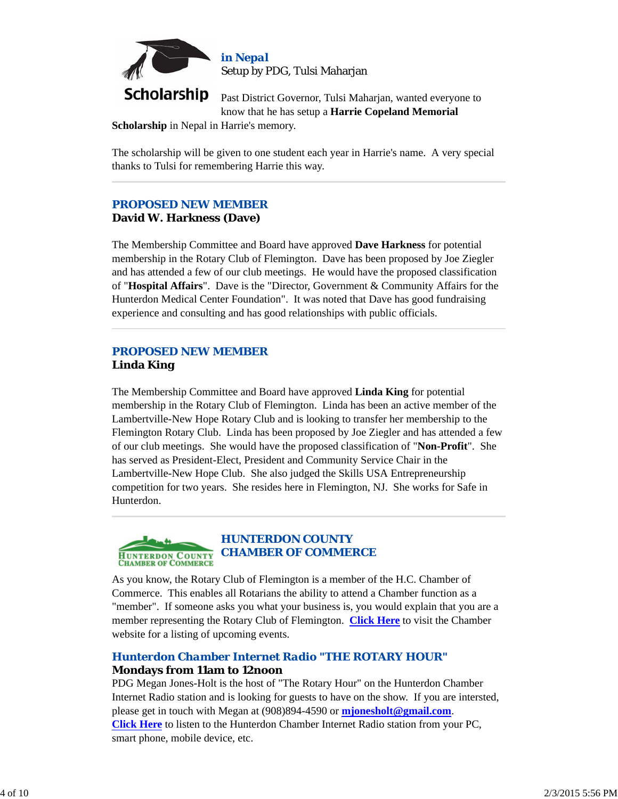

**Scholarship** Past District Governor, Tulsi Maharjan, wanted everyone to know that he has setup a **Harrie Copeland Memorial**

**Scholarship** in Nepal in Harrie's memory.

The scholarship will be given to one student each year in Harrie's name. A very special thanks to Tulsi for remembering Harrie this way.

# *PROPOSED NEW MEMBER* **David W. Harkness (Dave)**

The Membership Committee and Board have approved **Dave Harkness** for potential membership in the Rotary Club of Flemington. Dave has been proposed by Joe Ziegler and has attended a few of our club meetings. He would have the proposed classification of "**Hospital Affairs**". Dave is the "Director, Government & Community Affairs for the Hunterdon Medical Center Foundation". It was noted that Dave has good fundraising experience and consulting and has good relationships with public officials.

# *PROPOSED NEW MEMBER* **Linda King**

The Membership Committee and Board have approved **Linda King** for potential membership in the Rotary Club of Flemington. Linda has been an active member of the Lambertville-New Hope Rotary Club and is looking to transfer her membership to the Flemington Rotary Club. Linda has been proposed by Joe Ziegler and has attended a few of our club meetings. She would have the proposed classification of "**Non-Profit**". She has served as President-Elect, President and Community Service Chair in the Lambertville-New Hope Club. She also judged the Skills USA Entrepreneurship competition for two years. She resides here in Flemington, NJ. She works for Safe in Hunterdon.



# *HUNTERDON COUNTY CHAMBER OF COMMERCE*

As you know, the Rotary Club of Flemington is a member of the H.C. Chamber of Commerce. This enables all Rotarians the ability to attend a Chamber function as a "member". If someone asks you what your business is, you would explain that you are a member representing the Rotary Club of Flemington. **Click Here** to visit the Chamber website for a listing of upcoming events.

# *Hunterdon Chamber Internet Radio "THE ROTARY HOUR"* **Mondays from 11am to 12noon**

PDG Megan Jones-Holt is the host of "The Rotary Hour" on the Hunterdon Chamber Internet Radio station and is looking for guests to have on the show. If you are intersted, please get in touch with Megan at (908)894-4590 or **mjonesholt@gmail.com**. **Click Here** to listen to the Hunterdon Chamber Internet Radio station from your PC, smart phone, mobile device, etc.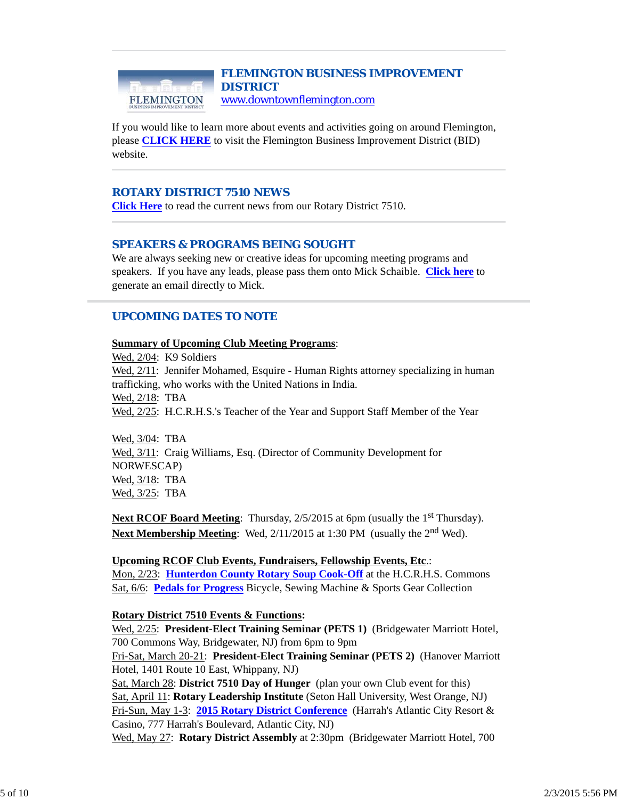#### *FLEMINGTON BUSINESS IMPROVEMENT DISTRICT* www.downtownflemington.com FLEMINGTON

If you would like to learn more about events and activities going on around Flemington, please **CLICK HERE** to visit the Flemington Business Improvement District (BID) website.

#### *ROTARY DISTRICT 7510 NEWS*

**Click Here** to read the current news from our Rotary District 7510.

## *SPEAKERS & PROGRAMS BEING SOUGHT*

We are always seeking new or creative ideas for upcoming meeting programs and speakers. If you have any leads, please pass them onto Mick Schaible. **Click here** to generate an email directly to Mick.

# *UPCOMING DATES TO NOTE*

#### **Summary of Upcoming Club Meeting Programs**:

Wed, 2/04: K9 Soldiers Wed, 2/11: Jennifer Mohamed, Esquire - Human Rights attorney specializing in human trafficking, who works with the United Nations in India. Wed, 2/18: TBA Wed, 2/25: H.C.R.H.S.'s Teacher of the Year and Support Staff Member of the Year

Wed, 3/04: TBA Wed, 3/11: Craig Williams, Esq. (Director of Community Development for NORWESCAP) Wed, 3/18: TBA Wed, 3/25: TBA

**Next RCOF Board Meeting**: Thursday, 2/5/2015 at 6pm (usually the 1<sup>st</sup> Thursday). Next Membership Meeting: Wed, 2/11/2015 at 1:30 PM (usually the 2<sup>nd</sup> Wed).

**Upcoming RCOF Club Events, Fundraisers, Fellowship Events, Etc**.: Mon, 2/23: **Hunterdon County Rotary Soup Cook-Off** at the H.C.R.H.S. Commons Sat, 6/6: **Pedals for Progress** Bicycle, Sewing Machine & Sports Gear Collection

#### **Rotary District 7510 Events & Functions:**

Wed, 2/25: **President-Elect Training Seminar (PETS 1)** (Bridgewater Marriott Hotel, 700 Commons Way, Bridgewater, NJ) from 6pm to 9pm

Fri-Sat, March 20-21: **President-Elect Training Seminar (PETS 2)** (Hanover Marriott Hotel, 1401 Route 10 East, Whippany, NJ)

Sat, March 28: **District 7510 Day of Hunger** (plan your own Club event for this) Sat, April 11: **Rotary Leadership Institute** (Seton Hall University, West Orange, NJ) Fri-Sun, May 1-3: **2015 Rotary District Conference** (Harrah's Atlantic City Resort & Casino, 777 Harrah's Boulevard, Atlantic City, NJ)

Wed, May 27: **Rotary District Assembly** at 2:30pm (Bridgewater Marriott Hotel, 700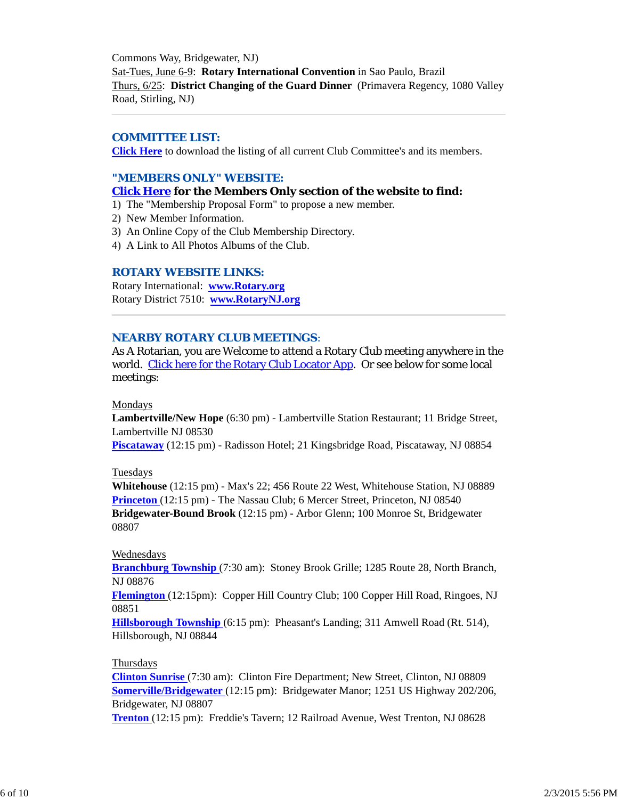Commons Way, Bridgewater, NJ) Sat-Tues, June 6-9: **Rotary International Convention** in Sao Paulo, Brazil Thurs, 6/25: **District Changing of the Guard Dinner** (Primavera Regency, 1080 Valley Road, Stirling, NJ)

#### *COMMITTEE LIST:*

**Click Here** to download the listing of all current Club Committee's and its members.

#### *"MEMBERS ONLY" WEBSITE:*

#### **Click Here for the Members Only section of the website to find:**

- 1) The "Membership Proposal Form" to propose a new member.
- 2) New Member Information.
- 3) An Online Copy of the Club Membership Directory.
- 4) A Link to All Photos Albums of the Club.

#### *ROTARY WEBSITE LINKS:*

Rotary International: **www.Rotary.org** Rotary District 7510: **www.RotaryNJ.org**

#### *NEARBY ROTARY CLUB MEETINGS:*

As A Rotarian, you are Welcome to attend a Rotary Club meeting anywhere in the world. Click here for the Rotary Club Locator App. Or see below for some local meetings:

#### Mondays

**Lambertville/New Hope** (6:30 pm) - Lambertville Station Restaurant; 11 Bridge Street, Lambertville NJ 08530

**Piscataway** (12:15 pm) - Radisson Hotel; 21 Kingsbridge Road, Piscataway, NJ 08854

#### Tuesdays

**Whitehouse** (12:15 pm) - Max's 22; 456 Route 22 West, Whitehouse Station, NJ 08889 **Princeton** (12:15 pm) - The Nassau Club; 6 Mercer Street, Princeton, NJ 08540 **Bridgewater-Bound Brook** (12:15 pm) - Arbor Glenn; 100 Monroe St, Bridgewater 08807

#### Wednesdays

**Branchburg Township** (7:30 am): Stoney Brook Grille; 1285 Route 28, North Branch, NJ 08876

**Flemington** (12:15pm): Copper Hill Country Club; 100 Copper Hill Road, Ringoes, NJ 08851

**Hillsborough Township** (6:15 pm): Pheasant's Landing; 311 Amwell Road (Rt. 514), Hillsborough, NJ 08844

#### Thursdays

**Clinton Sunrise** (7:30 am): Clinton Fire Department; New Street, Clinton, NJ 08809 **Somerville/Bridgewater** (12:15 pm): Bridgewater Manor; 1251 US Highway 202/206, Bridgewater, NJ 08807

**Trenton** (12:15 pm): Freddie's Tavern; 12 Railroad Avenue, West Trenton, NJ 08628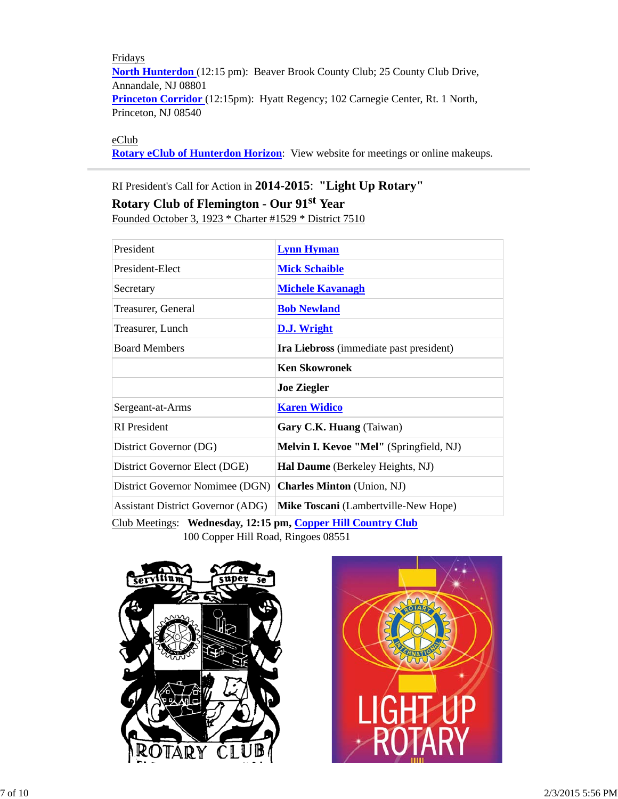Fridays **North Hunterdon** (12:15 pm): Beaver Brook County Club; 25 County Club Drive, Annandale, NJ 08801 **Princeton Corridor** (12:15pm): Hyatt Regency; 102 Carnegie Center, Rt. 1 North, Princeton, NJ 08540

# eClub

**Rotary eClub of Hunterdon Horizon**: View website for meetings or online makeups.

# RI President's Call for Action in **2014-2015**: **"Light Up Rotary" Rotary Club of Flemington - Our 91st Year**

Founded October 3, 1923 \* Charter #1529 \* District 7510

| President                                                                                                                                                                                                                                                                                                                                                                                                                                           | <b>Lynn Hyman</b>                       |  |  |
|-----------------------------------------------------------------------------------------------------------------------------------------------------------------------------------------------------------------------------------------------------------------------------------------------------------------------------------------------------------------------------------------------------------------------------------------------------|-----------------------------------------|--|--|
| President-Elect                                                                                                                                                                                                                                                                                                                                                                                                                                     | <b>Mick Schaible</b>                    |  |  |
| Secretary                                                                                                                                                                                                                                                                                                                                                                                                                                           | <b>Michele Kavanagh</b>                 |  |  |
| Treasurer, General                                                                                                                                                                                                                                                                                                                                                                                                                                  | <b>Bob Newland</b>                      |  |  |
| Treasurer, Lunch                                                                                                                                                                                                                                                                                                                                                                                                                                    | D.J. Wright                             |  |  |
| <b>Board Members</b>                                                                                                                                                                                                                                                                                                                                                                                                                                | Ira Liebross (immediate past president) |  |  |
|                                                                                                                                                                                                                                                                                                                                                                                                                                                     | <b>Ken Skowronek</b>                    |  |  |
|                                                                                                                                                                                                                                                                                                                                                                                                                                                     | <b>Joe Ziegler</b>                      |  |  |
| Sergeant-at-Arms                                                                                                                                                                                                                                                                                                                                                                                                                                    | <b>Karen Widico</b>                     |  |  |
| <b>RI</b> President                                                                                                                                                                                                                                                                                                                                                                                                                                 | Gary C.K. Huang (Taiwan)                |  |  |
| District Governor (DG)                                                                                                                                                                                                                                                                                                                                                                                                                              | Melvin I. Kevoe "Mel" (Springfield, NJ) |  |  |
| District Governor Elect (DGE)                                                                                                                                                                                                                                                                                                                                                                                                                       | Hal Daume (Berkeley Heights, NJ)        |  |  |
| District Governor Nomimee (DGN)                                                                                                                                                                                                                                                                                                                                                                                                                     | <b>Charles Minton</b> (Union, NJ)       |  |  |
| <b>Assistant District Governor (ADG)</b>                                                                                                                                                                                                                                                                                                                                                                                                            | Mike Toscani (Lambertville-New Hope)    |  |  |
| Club Meetings: Wednesday, 12:15 pm, Copper Hill Country Club<br>$100 \Omega$ $\overline{C}$ $\overline{C}$ $\overline{C}$ $\overline{C}$ $\overline{C}$ $\overline{C}$ $\overline{C}$ $\overline{C}$ $\overline{C}$ $\overline{C}$ $\overline{C}$ $\overline{C}$ $\overline{C}$ $\overline{C}$ $\overline{C}$ $\overline{C}$ $\overline{C}$ $\overline{C}$ $\overline{C}$ $\overline{C}$ $\overline{C}$ $\overline{C}$ $\overline{C}$ $\overline{C$ |                                         |  |  |

100 Copper Hill Road, Ringoes 08551



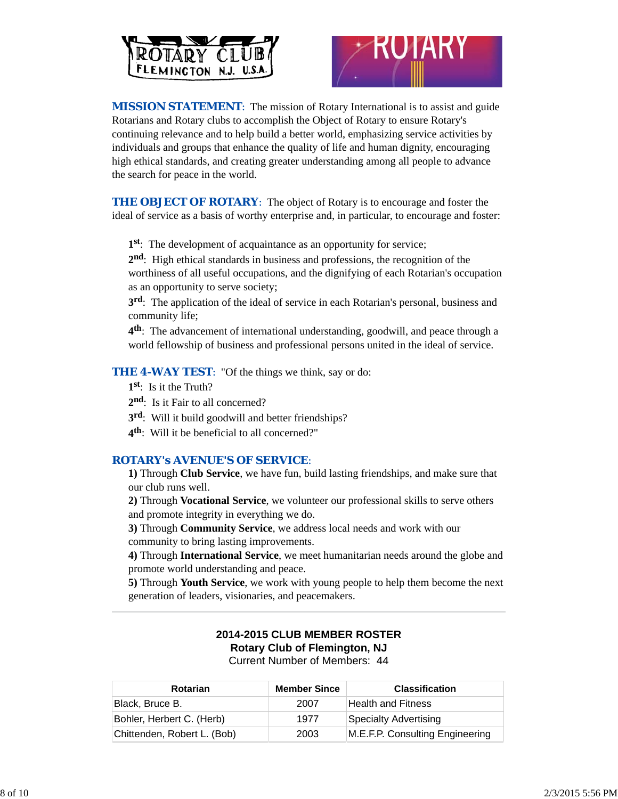



*MISSION STATEMENT*: The mission of Rotary International is to assist and guide Rotarians and Rotary clubs to accomplish the Object of Rotary to ensure Rotary's continuing relevance and to help build a better world, emphasizing service activities by individuals and groups that enhance the quality of life and human dignity, encouraging high ethical standards, and creating greater understanding among all people to advance the search for peace in the world.

**THE OBJECT OF ROTARY:** The object of Rotary is to encourage and foster the ideal of service as a basis of worthy enterprise and, in particular, to encourage and foster:

**1st**: The development of acquaintance as an opportunity for service;

**2nd**: High ethical standards in business and professions, the recognition of the worthiness of all useful occupations, and the dignifying of each Rotarian's occupation as an opportunity to serve society;

**3rd**: The application of the ideal of service in each Rotarian's personal, business and community life;

**4th**: The advancement of international understanding, goodwill, and peace through a world fellowship of business and professional persons united in the ideal of service.

**THE 4-WAY TEST:** "Of the things we think, say or do:

- **1st**: Is it the Truth?
- 2<sup>nd</sup>: Is it Fair to all concerned?
- **3rd**: Will it build goodwill and better friendships?
- **4th**: Will it be beneficial to all concerned?"

#### *ROTARY's AVENUE'S OF SERVICE*:

**1)** Through **Club Service**, we have fun, build lasting friendships, and make sure that our club runs well.

**2)** Through **Vocational Service**, we volunteer our professional skills to serve others and promote integrity in everything we do.

**3)** Through **Community Service**, we address local needs and work with our community to bring lasting improvements.

**4)** Through **International Service**, we meet humanitarian needs around the globe and promote world understanding and peace.

**5)** Through **Youth Service**, we work with young people to help them become the next generation of leaders, visionaries, and peacemakers.

#### **2014-2015 CLUB MEMBER ROSTER Rotary Club of Flemington, NJ** Current Number of Members: 44

| <b>Rotarian</b>             | <b>Member Since</b> | <b>Classification</b>           |
|-----------------------------|---------------------|---------------------------------|
| Black, Bruce B.             | 2007                | <b>Health and Fitness</b>       |
| Bohler, Herbert C. (Herb)   | 1977                | <b>Specialty Advertising</b>    |
| Chittenden, Robert L. (Bob) | 2003                | M.E.F.P. Consulting Engineering |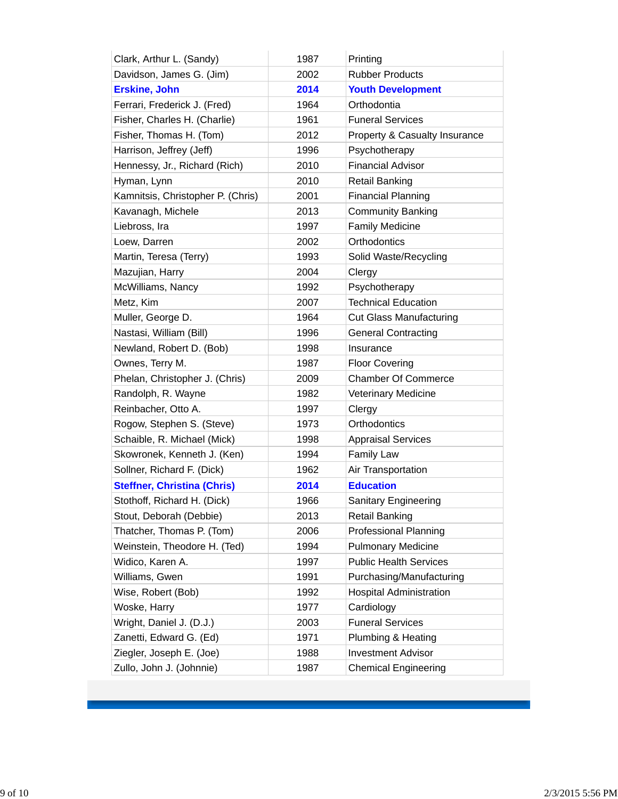| Clark, Arthur L. (Sandy)           | 1987 | Printing                       |
|------------------------------------|------|--------------------------------|
| Davidson, James G. (Jim)           | 2002 | <b>Rubber Products</b>         |
| <b>Erskine, John</b>               | 2014 | <b>Youth Development</b>       |
| Ferrari, Frederick J. (Fred)       | 1964 | Orthodontia                    |
| Fisher, Charles H. (Charlie)       | 1961 | <b>Funeral Services</b>        |
| Fisher, Thomas H. (Tom)            | 2012 | Property & Casualty Insurance  |
| Harrison, Jeffrey (Jeff)           | 1996 | Psychotherapy                  |
| Hennessy, Jr., Richard (Rich)      | 2010 | <b>Financial Advisor</b>       |
| Hyman, Lynn                        | 2010 | <b>Retail Banking</b>          |
| Kamnitsis, Christopher P. (Chris)  | 2001 | <b>Financial Planning</b>      |
| Kavanagh, Michele                  | 2013 | <b>Community Banking</b>       |
| Liebross, Ira                      | 1997 | <b>Family Medicine</b>         |
| Loew, Darren                       | 2002 | Orthodontics                   |
| Martin, Teresa (Terry)             | 1993 | Solid Waste/Recycling          |
| Mazujian, Harry                    | 2004 | Clergy                         |
| McWilliams, Nancy                  | 1992 | Psychotherapy                  |
| Metz, Kim                          | 2007 | <b>Technical Education</b>     |
| Muller, George D.                  | 1964 | <b>Cut Glass Manufacturing</b> |
| Nastasi, William (Bill)            | 1996 | <b>General Contracting</b>     |
| Newland, Robert D. (Bob)           | 1998 | Insurance                      |
| Ownes, Terry M.                    | 1987 | <b>Floor Covering</b>          |
| Phelan, Christopher J. (Chris)     | 2009 | <b>Chamber Of Commerce</b>     |
| Randolph, R. Wayne                 | 1982 | <b>Veterinary Medicine</b>     |
| Reinbacher, Otto A.                | 1997 | Clergy                         |
| Rogow, Stephen S. (Steve)          | 1973 | Orthodontics                   |
| Schaible, R. Michael (Mick)        | 1998 | <b>Appraisal Services</b>      |
| Skowronek, Kenneth J. (Ken)        | 1994 | <b>Family Law</b>              |
| Sollner, Richard F. (Dick)         | 1962 | Air Transportation             |
| <b>Steffner, Christina (Chris)</b> | 2014 | <b>Education</b>               |
| Stothoff, Richard H. (Dick)        | 1966 | Sanitary Engineering           |
| Stout, Deborah (Debbie)            | 2013 | <b>Retail Banking</b>          |
| Thatcher, Thomas P. (Tom)          | 2006 | <b>Professional Planning</b>   |
| Weinstein, Theodore H. (Ted)       | 1994 | <b>Pulmonary Medicine</b>      |
| Widico, Karen A.                   | 1997 | <b>Public Health Services</b>  |
| Williams, Gwen                     | 1991 | Purchasing/Manufacturing       |
| Wise, Robert (Bob)                 | 1992 | <b>Hospital Administration</b> |
| Woske, Harry                       | 1977 | Cardiology                     |
| Wright, Daniel J. (D.J.)           | 2003 | <b>Funeral Services</b>        |
| Zanetti, Edward G. (Ed)            | 1971 | Plumbing & Heating             |
| Ziegler, Joseph E. (Joe)           | 1988 | <b>Investment Advisor</b>      |
| Zullo, John J. (Johnnie)           | 1987 | <b>Chemical Engineering</b>    |